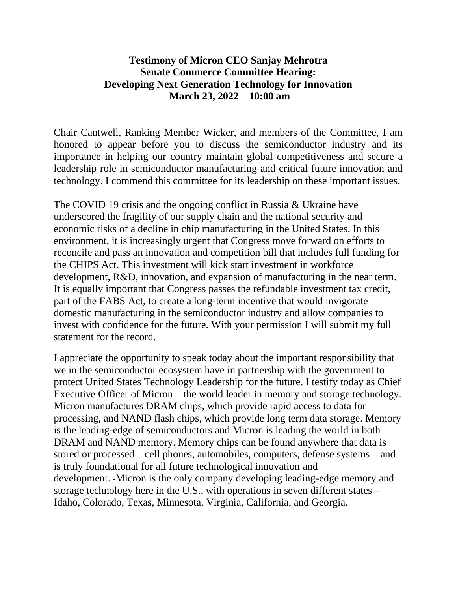## **Testimony of Micron CEO Sanjay Mehrotra Senate Commerce Committee Hearing: Developing Next Generation Technology for Innovation March 23, 2022 – 10:00 am**

Chair Cantwell, Ranking Member Wicker, and members of the Committee, I am honored to appear before you to discuss the semiconductor industry and its importance in helping our country maintain global competitiveness and secure a leadership role in semiconductor manufacturing and critical future innovation and technology. I commend this committee for its leadership on these important issues.

The COVID 19 crisis and the ongoing conflict in Russia & Ukraine have underscored the fragility of our supply chain and the national security and economic risks of a decline in chip manufacturing in the United States. In this environment, it is increasingly urgent that Congress move forward on efforts to reconcile and pass an innovation and competition bill that includes full funding for the CHIPS Act. This investment will kick start investment in workforce development, R&D, innovation, and expansion of manufacturing in the near term. It is equally important that Congress passes the refundable investment tax credit, part of the FABS Act, to create a long-term incentive that would invigorate domestic manufacturing in the semiconductor industry and allow companies to invest with confidence for the future. With your permission I will submit my full statement for the record.

I appreciate the opportunity to speak today about the important responsibility that we in the semiconductor ecosystem have in partnership with the government to protect United States Technology Leadership for the future. I testify today as Chief Executive Officer of Micron – the world leader in memory and storage technology. Micron manufactures DRAM chips, which provide rapid access to data for processing, and NAND flash chips, which provide long term data storage. Memory is the leading-edge of semiconductors and Micron is leading the world in both DRAM and NAND memory. Memory chips can be found anywhere that data is stored or processed – cell phones, automobiles, computers, defense systems – and is truly foundational for all future technological innovation and development. Micron is the only company developing leading-edge memory and storage technology here in the U.S., with operations in seven different states – Idaho, Colorado, Texas, Minnesota, Virginia, California, and Georgia.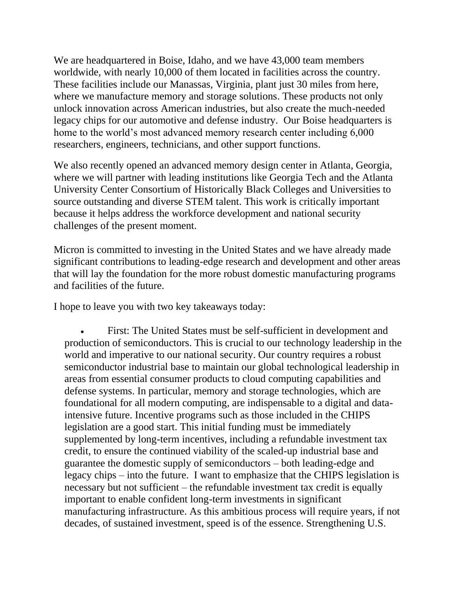We are headquartered in Boise, Idaho, and we have 43,000 team members worldwide, with nearly 10,000 of them located in facilities across the country. These facilities include our Manassas, Virginia, plant just 30 miles from here, where we manufacture memory and storage solutions. These products not only unlock innovation across American industries, but also create the much-needed legacy chips for our automotive and defense industry. Our Boise headquarters is home to the world's most advanced memory research center including 6,000 researchers, engineers, technicians, and other support functions.

We also recently opened an advanced memory design center in Atlanta, Georgia, where we will partner with leading institutions like Georgia Tech and the Atlanta University Center Consortium of Historically Black Colleges and Universities to source outstanding and diverse STEM talent. This work is critically important because it helps address the workforce development and national security challenges of the present moment.

Micron is committed to investing in the United States and we have already made significant contributions to leading-edge research and development and other areas that will lay the foundation for the more robust domestic manufacturing programs and facilities of the future.

I hope to leave you with two key takeaways today:

First: The United States must be self-sufficient in development and production of semiconductors. This is crucial to our technology leadership in the world and imperative to our national security. Our country requires a robust semiconductor industrial base to maintain our global technological leadership in areas from essential consumer products to cloud computing capabilities and defense systems. In particular, memory and storage technologies, which are foundational for all modern computing, are indispensable to a digital and dataintensive future. Incentive programs such as those included in the CHIPS legislation are a good start. This initial funding must be immediately supplemented by long-term incentives, including a refundable investment tax credit, to ensure the continued viability of the scaled-up industrial base and guarantee the domestic supply of semiconductors – both leading-edge and legacy chips – into the future. I want to emphasize that the CHIPS legislation is necessary but not sufficient – the refundable investment tax credit is equally important to enable confident long-term investments in significant manufacturing infrastructure. As this ambitious process will require years, if not decades, of sustained investment, speed is of the essence. Strengthening U.S.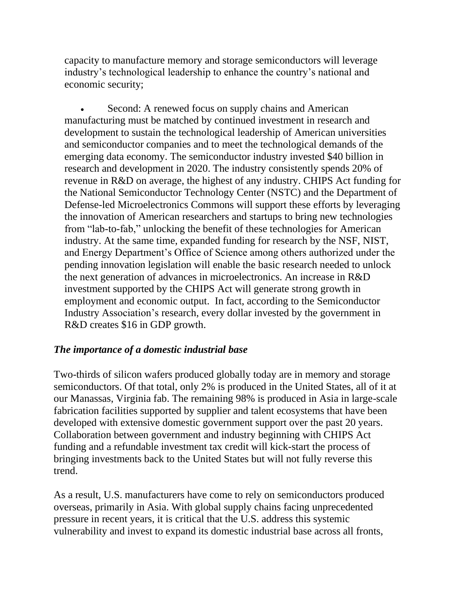capacity to manufacture memory and storage semiconductors will leverage industry's technological leadership to enhance the country's national and economic security;

Second: A renewed focus on supply chains and American manufacturing must be matched by continued investment in research and development to sustain the technological leadership of American universities and semiconductor companies and to meet the technological demands of the emerging data economy. The semiconductor industry invested \$40 billion in research and development in 2020. The industry consistently spends 20% of revenue in R&D on average, the highest of any industry. CHIPS Act funding for the National Semiconductor Technology Center (NSTC) and the Department of Defense-led Microelectronics Commons will support these efforts by leveraging the innovation of American researchers and startups to bring new technologies from "lab-to-fab," unlocking the benefit of these technologies for American industry. At the same time, expanded funding for research by the NSF, NIST, and Energy Department's Office of Science among others authorized under the pending innovation legislation will enable the basic research needed to unlock the next generation of advances in microelectronics. An increase in R&D investment supported by the CHIPS Act will generate strong growth in employment and economic output. In fact, according to the Semiconductor Industry Association's research, every dollar invested by the government in R&D creates \$16 in GDP growth.

## *The importance of a domestic industrial base*

Two-thirds of silicon wafers produced globally today are in memory and storage semiconductors. Of that total, only 2% is produced in the United States, all of it at our Manassas, Virginia fab. The remaining 98% is produced in Asia in large-scale fabrication facilities supported by supplier and talent ecosystems that have been developed with extensive domestic government support over the past 20 years. Collaboration between government and industry beginning with CHIPS Act funding and a refundable investment tax credit will kick-start the process of bringing investments back to the United States but will not fully reverse this trend.

As a result, U.S. manufacturers have come to rely on semiconductors produced overseas, primarily in Asia. With global supply chains facing unprecedented pressure in recent years, it is critical that the U.S. address this systemic vulnerability and invest to expand its domestic industrial base across all fronts,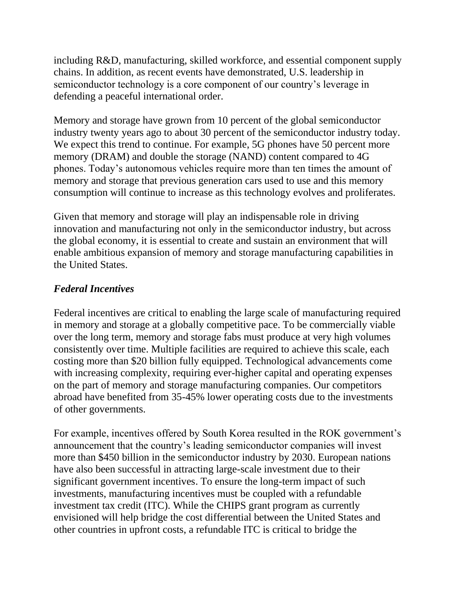including R&D, manufacturing, skilled workforce, and essential component supply chains. In addition, as recent events have demonstrated, U.S. leadership in semiconductor technology is a core component of our country's leverage in defending a peaceful international order.

Memory and storage have grown from 10 percent of the global semiconductor industry twenty years ago to about 30 percent of the semiconductor industry today. We expect this trend to continue. For example, 5G phones have 50 percent more memory (DRAM) and double the storage (NAND) content compared to 4G phones. Today's autonomous vehicles require more than ten times the amount of memory and storage that previous generation cars used to use and this memory consumption will continue to increase as this technology evolves and proliferates.

Given that memory and storage will play an indispensable role in driving innovation and manufacturing not only in the semiconductor industry, but across the global economy, it is essential to create and sustain an environment that will enable ambitious expansion of memory and storage manufacturing capabilities in the United States.

## *Federal Incentives*

Federal incentives are critical to enabling the large scale of manufacturing required in memory and storage at a globally competitive pace. To be commercially viable over the long term, memory and storage fabs must produce at very high volumes consistently over time. Multiple facilities are required to achieve this scale, each costing more than \$20 billion fully equipped. Technological advancements come with increasing complexity, requiring ever-higher capital and operating expenses on the part of memory and storage manufacturing companies. Our competitors abroad have benefited from 35-45% lower operating costs due to the investments of other governments.

For example, incentives offered by South Korea resulted in the ROK government's announcement that the country's leading semiconductor companies will invest more than \$450 billion in the semiconductor industry by 2030. European nations have also been successful in attracting large-scale investment due to their significant government incentives. To ensure the long-term impact of such investments, manufacturing incentives must be coupled with a refundable investment tax credit (ITC). While the CHIPS grant program as currently envisioned will help bridge the cost differential between the United States and other countries in upfront costs, a refundable ITC is critical to bridge the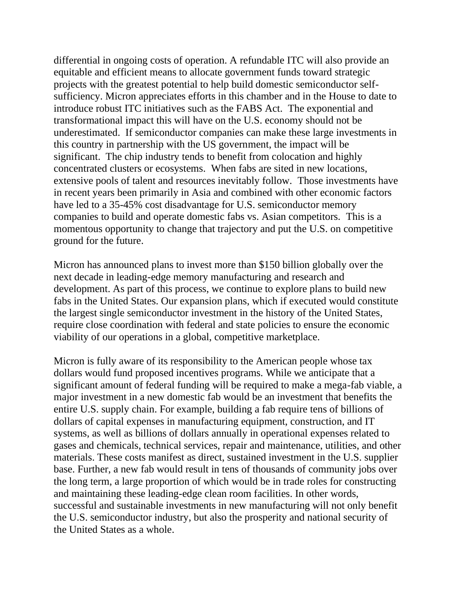differential in ongoing costs of operation. A refundable ITC will also provide an equitable and efficient means to allocate government funds toward strategic projects with the greatest potential to help build domestic semiconductor selfsufficiency. Micron appreciates efforts in this chamber and in the House to date to introduce robust ITC initiatives such as the FABS Act. The exponential and transformational impact this will have on the U.S. economy should not be underestimated. If semiconductor companies can make these large investments in this country in partnership with the US government, the impact will be significant. The chip industry tends to benefit from colocation and highly concentrated clusters or ecosystems. When fabs are sited in new locations, extensive pools of talent and resources inevitably follow. Those investments have in recent years been primarily in Asia and combined with other economic factors have led to a 35-45% cost disadvantage for U.S. semiconductor memory companies to build and operate domestic fabs vs. Asian competitors. This is a momentous opportunity to change that trajectory and put the U.S. on competitive ground for the future.

Micron has announced plans to invest more than \$150 billion globally over the next decade in leading-edge memory manufacturing and research and development. As part of this process, we continue to explore plans to build new fabs in the United States. Our expansion plans, which if executed would constitute the largest single semiconductor investment in the history of the United States, require close coordination with federal and state policies to ensure the economic viability of our operations in a global, competitive marketplace.

Micron is fully aware of its responsibility to the American people whose tax dollars would fund proposed incentives programs. While we anticipate that a significant amount of federal funding will be required to make a mega-fab viable, a major investment in a new domestic fab would be an investment that benefits the entire U.S. supply chain. For example, building a fab require tens of billions of dollars of capital expenses in manufacturing equipment, construction, and IT systems, as well as billions of dollars annually in operational expenses related to gases and chemicals, technical services, repair and maintenance, utilities, and other materials. These costs manifest as direct, sustained investment in the U.S. supplier base. Further, a new fab would result in tens of thousands of community jobs over the long term, a large proportion of which would be in trade roles for constructing and maintaining these leading-edge clean room facilities. In other words, successful and sustainable investments in new manufacturing will not only benefit the U.S. semiconductor industry, but also the prosperity and national security of the United States as a whole.